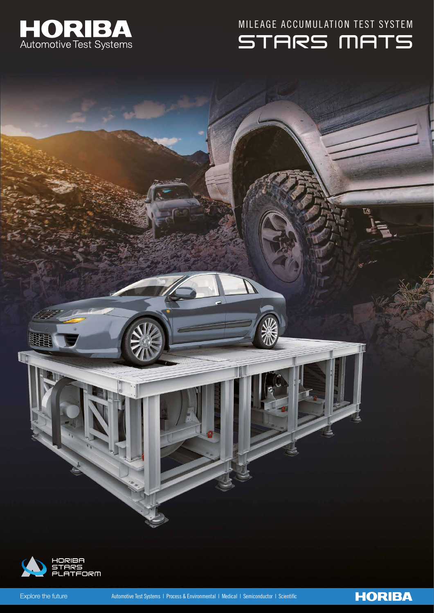

STARS MATS MILEAGE ACCUMULATION TEST SYSTEM

区

**HORIBA** 

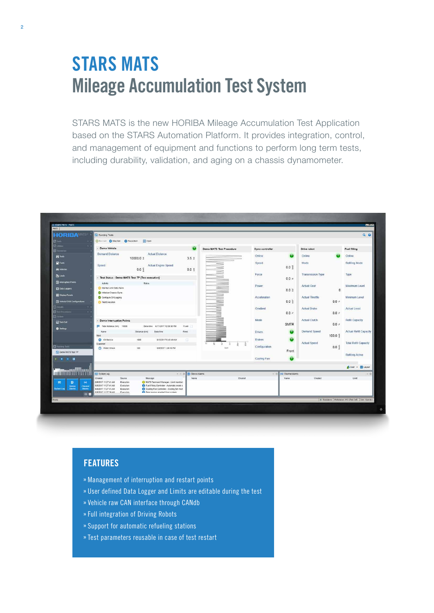# **STARS MATS Mileage Accumulation Test System**

STARS MATS is the new HORIBA Mileage Accumulation Test Application based on the STARS Automation Platform. It provides integration, control, and management of equipment and functions to perform long term tests, including durability, validation, and aging on a chassis dynamometer.



#### **FEATURES**

- Management of interruption and restart points
- User defined Data Logger and Limits are editable during the test
- Vehicle raw CAN interface through CANdb
- » Full integration of Driving Robots
- Support for automatic refueling stations
- » Test parameters reusable in case of test restart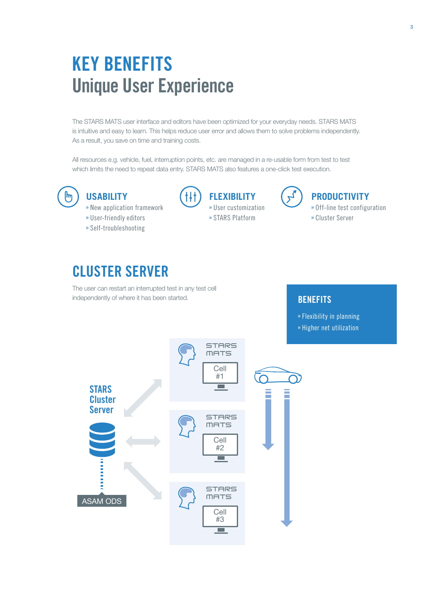# **KEY BENEFITS Unique User Experience**

The STARS MATS user interface and editors have been optimized for your everyday needs. STARS MATS is intuitive and easy to learn. This helps reduce user error and allows them to solve problems independently. As a result, you save on time and training costs.

All resources e.g. vehicle, fuel, interruption points, etc. are managed in a re-usable form from test to test which limits the need to repeat data entry. STARS MATS also features a one-click test execution.



### **USABILITY**

- » New application framework
- User-friendly editors
- Self-troubleshooting



- User customization
	- » STARS Platform



### **PRODUCTIVITY**

- Off-line test configuration
- Cluster Server

## **CLUSTER SERVER**

The user can restart an interrupted test in any test cell independently of where it has been started.

### **BENEFITS**

Flexibility in planning

» Higher net utilization